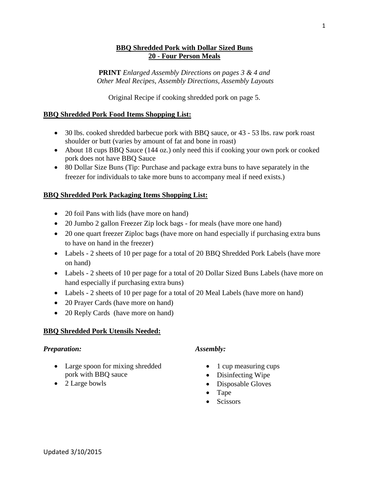#### **BBQ Shredded Pork with Dollar Sized Buns 20 - Four Person Meals**

**PRINT** *Enlarged Assembly Directions on pages 3 & 4 and Other Meal Recipes, Assembly Directions, Assembly Layouts*

Original Recipe if cooking shredded pork on page 5.

#### **BBQ Shredded Pork Food Items Shopping List:**

- 30 lbs. cooked shredded barbecue pork with BBQ sauce, or 43 53 lbs. raw pork roast shoulder or butt (varies by amount of fat and bone in roast)
- About 18 cups BBQ Sauce (144 oz.) only need this if cooking your own pork or cooked pork does not have BBQ Sauce
- 80 Dollar Size Buns (Tip: Purchase and package extra buns to have separately in the freezer for individuals to take more buns to accompany meal if need exists.)

#### **BBQ Shredded Pork Packaging Items Shopping List:**

- 20 foil Pans with lids (have more on hand)
- 20 Jumbo 2 gallon Freezer Zip lock bags for meals (have more one hand)
- 20 one quart freezer Ziploc bags (have more on hand especially if purchasing extra buns to have on hand in the freezer)
- Labels 2 sheets of 10 per page for a total of 20 BBQ Shredded Pork Labels (have more on hand)
- Labels 2 sheets of 10 per page for a total of 20 Dollar Sized Buns Labels (have more on hand especially if purchasing extra buns)
- Labels 2 sheets of 10 per page for a total of 20 Meal Labels (have more on hand)
- 20 Prayer Cards (have more on hand)
- 20 Reply Cards (have more on hand)

#### **BBQ Shredded Pork Utensils Needed:**

#### *Preparation:*

- Large spoon for mixing shredded pork with BBQ sauce
- 2 Large bowls

#### *Assembly:*

- $\bullet$  1 cup measuring cups
- Disinfecting Wipe
- Disposable Gloves
- Tape
- Scissors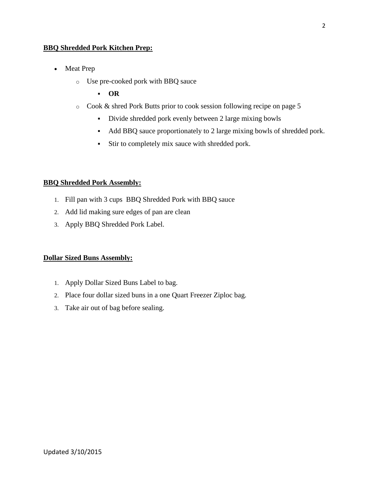#### **BBQ Shredded Pork Kitchen Prep:**

- Meat Prep
	- o Use pre-cooked pork with BBQ sauce
		- **OR**
	- o Cook & shred Pork Butts prior to cook session following recipe on page 5
		- Divide shredded pork evenly between 2 large mixing bowls
		- Add BBQ sauce proportionately to 2 large mixing bowls of shredded pork.
		- Stir to completely mix sauce with shredded pork.

#### **BBQ Shredded Pork Assembly:**

- 1. Fill pan with 3 cups BBQ Shredded Pork with BBQ sauce
- 2. Add lid making sure edges of pan are clean
- 3. Apply BBQ Shredded Pork Label.

#### **Dollar Sized Buns Assembly:**

- 1. Apply Dollar Sized Buns Label to bag.
- 2. Place four dollar sized buns in a one Quart Freezer Ziploc bag.
- 3. Take air out of bag before sealing.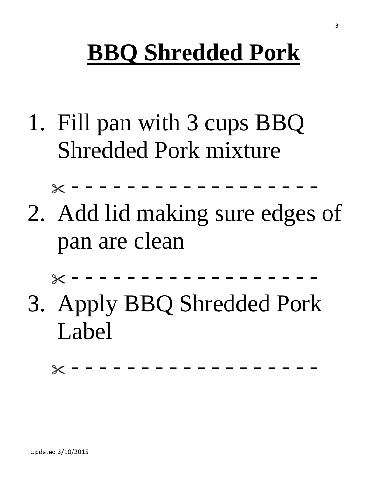# **BBQ Shredded Pork**

1. Fill pan with 3 cups BBQ Shredded Pork mixture

- - - - - - - - - - - - - - - - - -

2. Add lid making sure edges of pan are clean

- - - - - - - - - - - - - - - - - -

3. Apply BBQ Shredded Pork Label

- - - - - - - - - - - - - - - - - -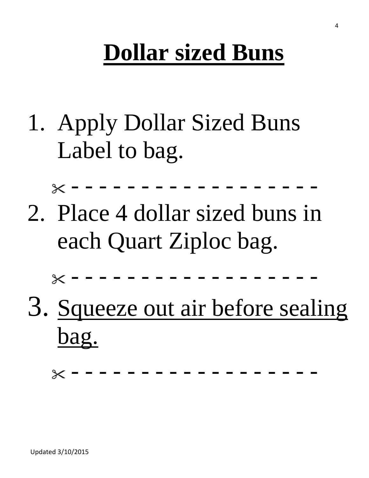# **Dollar sized Buns**

1. Apply Dollar Sized Buns Label to bag.

- - - - - - - - - - - - - - - - - -

2. Place 4 dollar sized buns in each Quart Ziploc bag.

- - - - - - - - - - - - - - - - - -

3. Squeeze out air before sealing bag.

- - - - - - - - - - - - - - - - - -